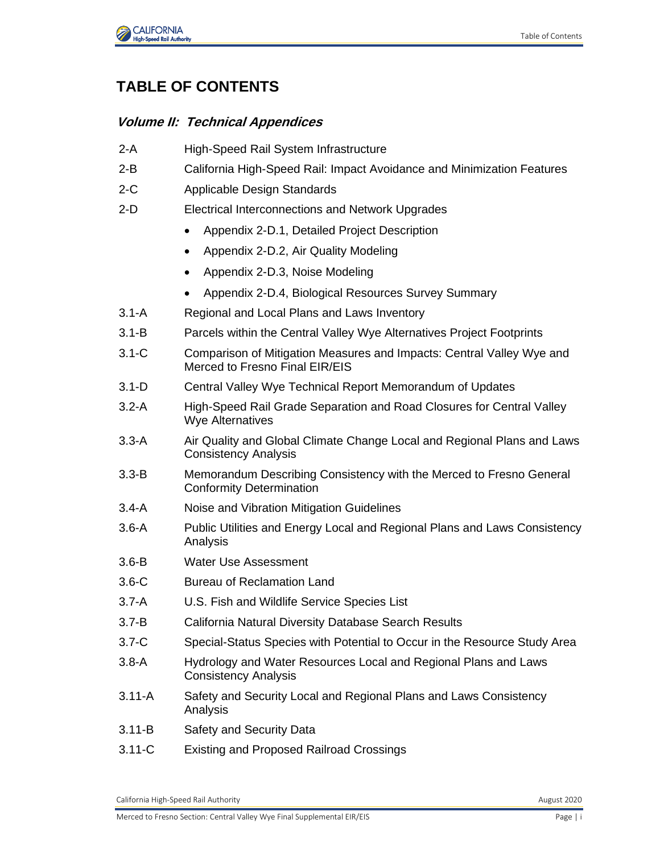

## **TABLE OF CONTENTS**

## **Volume II: Technical Appendices**

- 2-A High-Speed Rail System Infrastructure
- 2-B California High-Speed Rail: Impact Avoidance and Minimization Features
- 2-C Applicable Design Standards
- 2-D Electrical Interconnections and Network Upgrades
	- Appendix 2-D.1, Detailed Project Description
	- Appendix 2-D.2, Air Quality Modeling
	- Appendix 2-D.3, Noise Modeling
	- Appendix 2-D.4, Biological Resources Survey Summary
- 3.1-A Regional and Local Plans and Laws Inventory
- 3.1-B Parcels within the Central Valley Wye Alternatives Project Footprints
- 3.1-C Comparison of Mitigation Measures and Impacts: Central Valley Wye and Merced to Fresno Final EIR/EIS
- 3.1-D Central Valley Wye Technical Report Memorandum of Updates
- 3.2-A High-Speed Rail Grade Separation and Road Closures for Central Valley Wye Alternatives
- 3.3-A Air Quality and Global Climate Change Local and Regional Plans and Laws Consistency Analysis
- 3.3-B Memorandum Describing Consistency with the Merced to Fresno General Conformity Determination
- 3.4-A Noise and Vibration Mitigation Guidelines
- 3.6-A Public Utilities and Energy Local and Regional Plans and Laws Consistency Analysis
- 3.6-B Water Use Assessment
- 3.6-C Bureau of Reclamation Land
- 3.7-A U.S. Fish and Wildlife Service Species List
- 3.7-B California Natural Diversity Database Search Results
- 3.7-C Special-Status Species with Potential to Occur in the Resource Study Area
- 3.8-A Hydrology and Water Resources Local and Regional Plans and Laws Consistency Analysis
- 3.11-A Safety and Security Local and Regional Plans and Laws Consistency Analysis
- 3.11-B Safety and Security Data
- 3.11-C Existing and Proposed Railroad Crossings